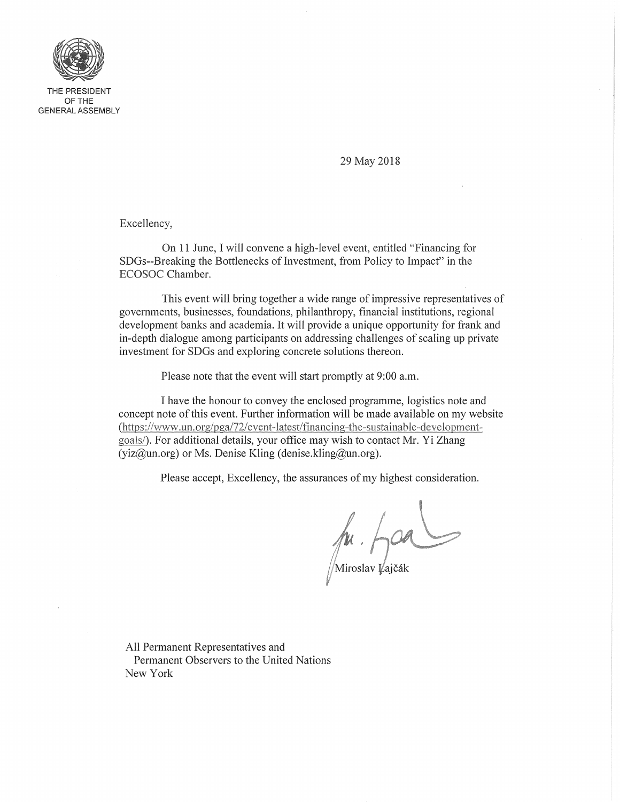

29 May 2018

Excellency,

On 11 June, I will convene a high-level event, entitled "Financing for SDGs--Breaking the Bottlenecks of Investment, from Policy to Impact" in the ECOSOC Chamber.

This event will bring together a wide range of impressive representatives of governments, businesses, foundations, philanthropy, financial institutions, regional development banks and academia. It will provide a unique opportunity for frank and in-depth dialogue among participants on addressing challenges of scaling up private investment for SDGs and exploring concrete solutions thereon.

Please note that the event will start promptly at 9:00 a.m.

I have the honour to convey the enclosed programme, logistics note and concept note of this event. Further information will be made available on my website (https://www.un.org/pga/72/event-latest/financing-the-sustainable-developmentgoals/). For additional details, your office may wish to contact Mr. Yi Zhang  $(yiz@un.org)$  or Ms. Denise Kling (denise.kling@un.org).

Please accept, Excellency, the assurances of my highest consideration.

 $\n *h u h u h h h h h h h h h h h h h h h h h h h h h h h h h h h* <$ 

All Permanent Representatives and Permanent Observers to the United Nations New York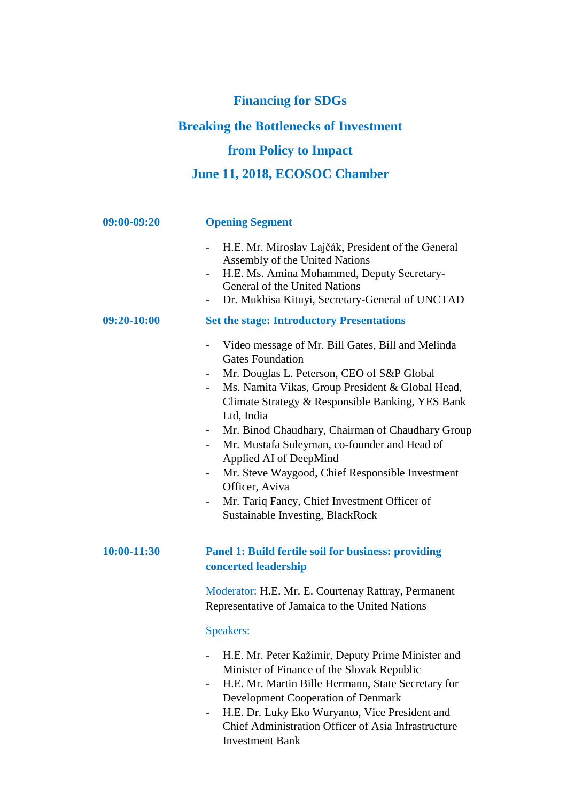## **Financing for SDGs**

## **Breaking the Bottlenecks of Investment**

## **from Policy to Impact**

## **June 11, 2018, ECOSOC Chamber**

| 09:00-09:20 | <b>Opening Segment</b>                                                                                                                                                                                                                                                                                                                                                                                                                                                                                                                                                               |
|-------------|--------------------------------------------------------------------------------------------------------------------------------------------------------------------------------------------------------------------------------------------------------------------------------------------------------------------------------------------------------------------------------------------------------------------------------------------------------------------------------------------------------------------------------------------------------------------------------------|
|             | H.E. Mr. Miroslav Lajčák, President of the General<br>$\overline{\phantom{a}}$<br>Assembly of the United Nations<br>H.E. Ms. Amina Mohammed, Deputy Secretary-<br>General of the United Nations<br>Dr. Mukhisa Kituyi, Secretary-General of UNCTAD                                                                                                                                                                                                                                                                                                                                   |
| 09:20-10:00 | <b>Set the stage: Introductory Presentations</b>                                                                                                                                                                                                                                                                                                                                                                                                                                                                                                                                     |
|             | Video message of Mr. Bill Gates, Bill and Melinda<br>$\overline{\phantom{0}}$<br><b>Gates Foundation</b><br>Mr. Douglas L. Peterson, CEO of S&P Global<br>Ms. Namita Vikas, Group President & Global Head,<br>Climate Strategy & Responsible Banking, YES Bank<br>Ltd, India<br>Mr. Binod Chaudhary, Chairman of Chaudhary Group<br>$\sim$<br>Mr. Mustafa Suleyman, co-founder and Head of<br>Applied AI of DeepMind<br>Mr. Steve Waygood, Chief Responsible Investment<br>Officer, Aviva<br>Mr. Tariq Fancy, Chief Investment Officer of<br><b>Sustainable Investing, BlackRock</b> |
| 10:00-11:30 | <b>Panel 1: Build fertile soil for business: providing</b><br>concerted leadership                                                                                                                                                                                                                                                                                                                                                                                                                                                                                                   |
|             | Moderator: H.E. Mr. E. Courtenay Rattray, Permanent<br>Representative of Jamaica to the United Nations                                                                                                                                                                                                                                                                                                                                                                                                                                                                               |
|             | Speakers:                                                                                                                                                                                                                                                                                                                                                                                                                                                                                                                                                                            |
|             | H.E. Mr. Peter Kažimír, Deputy Prime Minister and<br>Minister of Finance of the Slovak Republic<br>H.E. Mr. Martin Bille Hermann, State Secretary for<br>Development Cooperation of Denmark<br>H.E. Dr. Luky Eko Wuryanto, Vice President and<br>Chief Administration Officer of Asia Infrastructure                                                                                                                                                                                                                                                                                 |

Investment Bank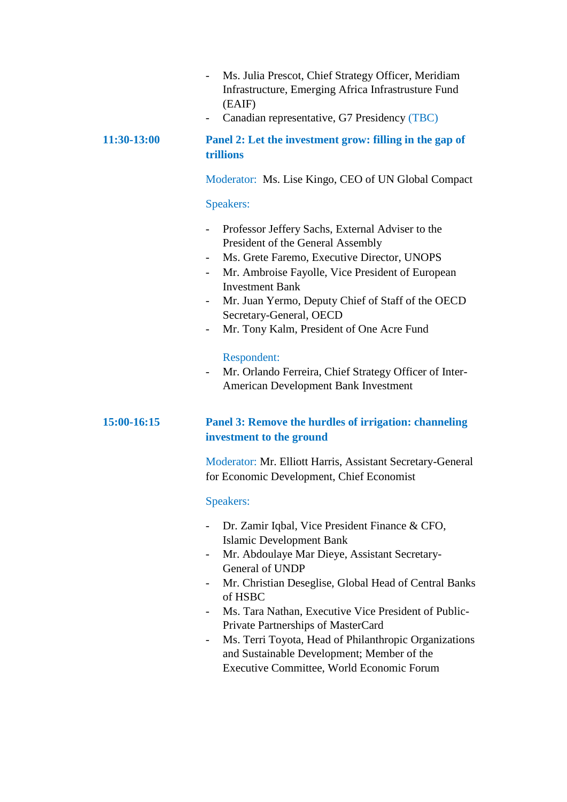- Ms. Julia Prescot, Chief Strategy Officer, Meridiam Infrastructure, Emerging Africa Infrastrusture Fund (EAIF)
- Canadian representative, G7 Presidency (TBC)

#### **11:30-13:00 Panel 2: Let the investment grow: filling in the gap of trillions**

Moderator: Ms. Lise Kingo, CEO of UN Global Compact

#### Speakers:

- Professor Jeffery Sachs, External Adviser to the President of the General Assembly
- Ms. Grete Faremo, Executive Director, UNOPS
- Mr. Ambroise Fayolle, Vice President of European Investment Bank
- Mr. Juan Yermo, Deputy Chief of Staff of the OECD Secretary-General, OECD
- Mr. Tony Kalm, President of One Acre Fund

#### Respondent:

- Mr. Orlando Ferreira, Chief Strategy Officer of Inter-American Development Bank Investment

#### **15:00-16:15 Panel 3: Remove the hurdles of irrigation: channeling investment to the ground**

Moderator: Mr. Elliott Harris, Assistant Secretary-General for Economic Development, Chief Economist

#### Speakers:

- Dr. Zamir Iqbal, Vice President Finance & CFO, Islamic Development Bank
- Mr. Abdoulaye Mar Dieye, Assistant Secretary-General of UNDP
- Mr. Christian Deseglise, Global Head of Central Banks of HSBC
- Ms. Tara Nathan, Executive Vice President of Public-Private Partnerships of MasterCard
- Ms. Terri Toyota, Head of Philanthropic Organizations and Sustainable Development; Member of the Executive Committee, World Economic Forum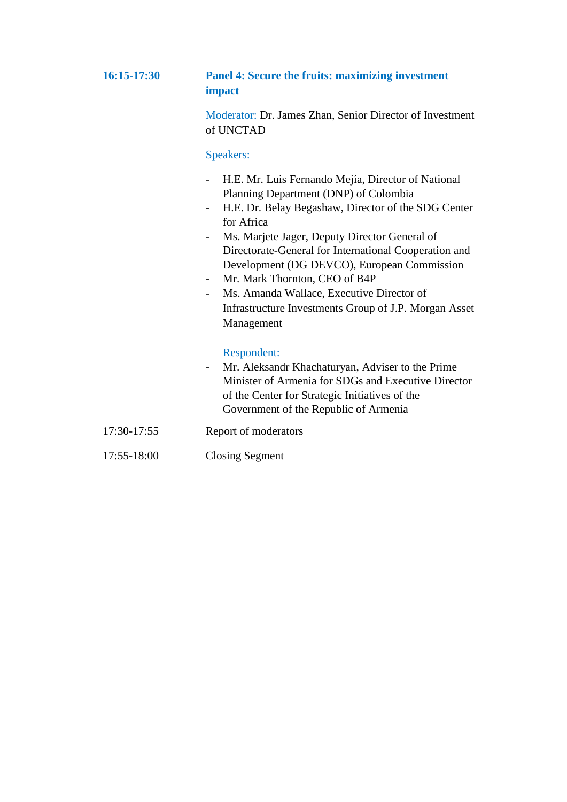#### **16:15-17:30 Panel 4: Secure the fruits: maximizing investment impact**

Moderator: Dr. James Zhan, Senior Director of Investment of UNCTAD

#### Speakers:

- H.E. Mr. Luis Fernando Mejía, Director of National Planning Department (DNP) of Colombia
- H.E. Dr. Belay Begashaw, Director of the SDG Center for Africa
- Ms. Marjete Jager, Deputy Director General of Directorate-General for International Cooperation and Development (DG DEVCO), European Commission
- Mr. Mark Thornton, CEO of B4P
- Ms. Amanda Wallace, Executive Director of Infrastructure Investments Group of J.P. Morgan Asset Management

#### Respondent:

- Mr. Aleksandr Khachaturyan, Adviser to the Prime Minister of Armenia for SDGs and Executive Director of the Center for Strategic Initiatives of the Government of the Republic of Armenia
- 17:30-17:55 Report of moderators
- 17:55-18:00 Closing Segment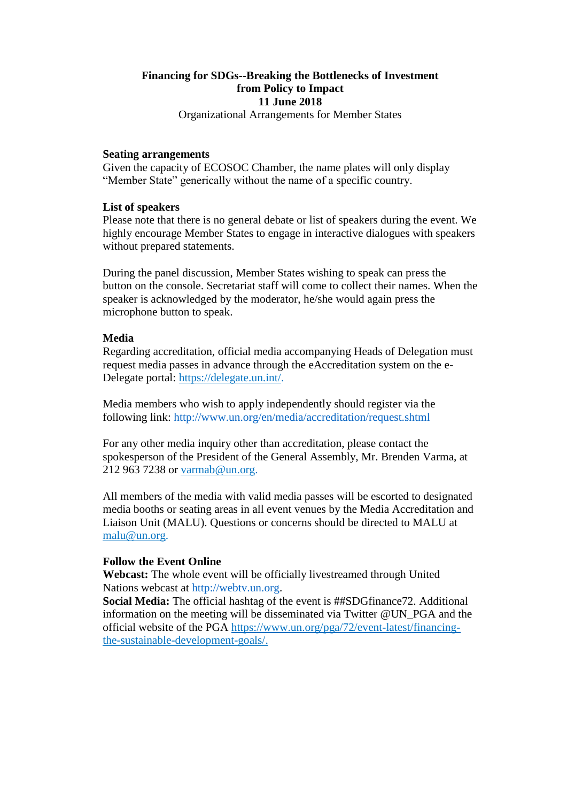#### **Financing for SDGs--Breaking the Bottlenecks of Investment from Policy to Impact 11 June 2018**

Organizational Arrangements for Member States

#### **Seating arrangements**

Given the capacity of ECOSOC Chamber, the name plates will only display "Member State" generically without the name of a specific country.

#### **List of speakers**

Please note that there is no general debate or list of speakers during the event. We highly encourage Member States to engage in interactive dialogues with speakers without prepared statements.

During the panel discussion, Member States wishing to speak can press the button on the console. Secretariat staff will come to collect their names. When the speaker is acknowledged by the moderator, he/she would again press the microphone button to speak.

#### **Media**

Regarding accreditation, official media accompanying Heads of Delegation must request media passes in advance through the eAccreditation system on the e-Delegate portal: [https://delegate.un.int/.](https://delegate.un.int/)

Media members who wish to apply independently should register via the following link: http://www.un.org/en/media/accreditation/request.shtml

For any other media inquiry other than accreditation, please contact the spokesperson of the President of the General Assembly, Mr. Brenden Varma, at 212 963 7238 or [varmab@un.org.](mailto:varmab@un.org)

All members of the media with valid media passes will be escorted to designated media booths or seating areas in all event venues by the Media Accreditation and Liaison Unit (MALU). Questions or concerns should be directed to MALU at [malu@un.org.](mailto:malu@un.org)

#### **Follow the Event Online**

**Webcast:** The whole event will be officially livestreamed through United Nations webcast at http://webtv.un.org.

**Social Media:** The official hashtag of the event is ##SDGfinance72. Additional information on the meeting will be disseminated via Twitter @UN\_PGA and the official website of the PGA [https://www.un.org/pga/72/event-latest/financing](https://www.un.org/pga/72/event-latest/financing-the-sustainable-development-goals/)[the-sustainable-development-goals/.](https://www.un.org/pga/72/event-latest/financing-the-sustainable-development-goals/)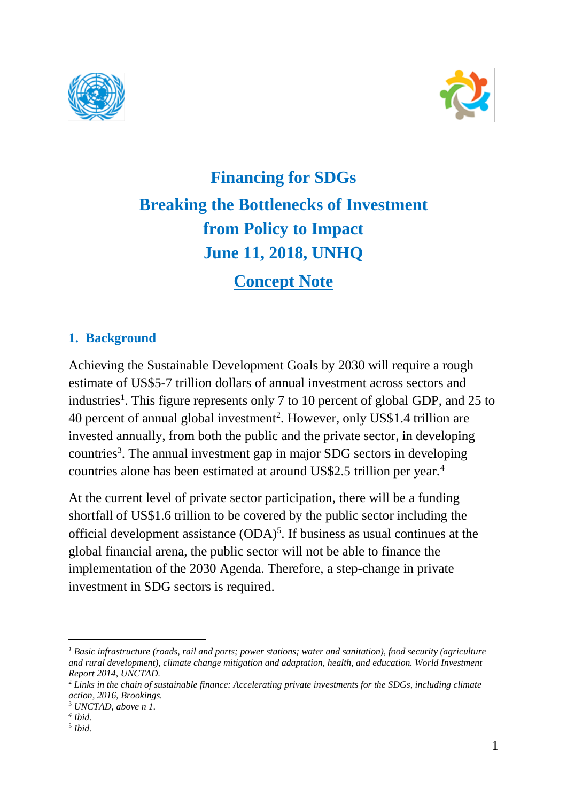



# **Financing for SDGs Breaking the Bottlenecks of Investment from Policy to Impact June 11, 2018, UNHQ**

## **Concept Note**

## **1. Background**

Achieving the Sustainable Development Goals by 2030 will require a rough estimate of US\$5-7 trillion dollars of annual investment across sectors and industries<sup>1</sup>. This figure represents only 7 to 10 percent of global GDP, and 25 to 40 percent of annual global investment<sup>2</sup>. However, only US\$1.4 trillion are invested annually, from both the public and the private sector, in developing countries<sup>3</sup>. The annual investment gap in major SDG sectors in developing countries alone has been estimated at around US\$2.5 trillion per year.<sup>4</sup>

At the current level of private sector participation, there will be a funding shortfall of US\$1.6 trillion to be covered by the public sector including the official development assistance (ODA)<sup>5</sup>. If business as usual continues at the global financial arena, the public sector will not be able to finance the implementation of the 2030 Agenda. Therefore, a step-change in private investment in SDG sectors is required.

 $\overline{a}$ 

*<sup>1</sup> Basic infrastructure (roads, rail and ports; power stations; water and sanitation), food security (agriculture and rural development), climate change mitigation and adaptation, health, and education. World Investment Report 2014, UNCTAD.*

<sup>2</sup> *Links in the chain of sustainable finance: Accelerating private investments for the SDGs, including climate action, 2016, Brookings.* 

<sup>3</sup> *UNCTAD, above n 1.*

*<sup>4</sup> Ibid.*

<sup>5</sup> *Ibid.*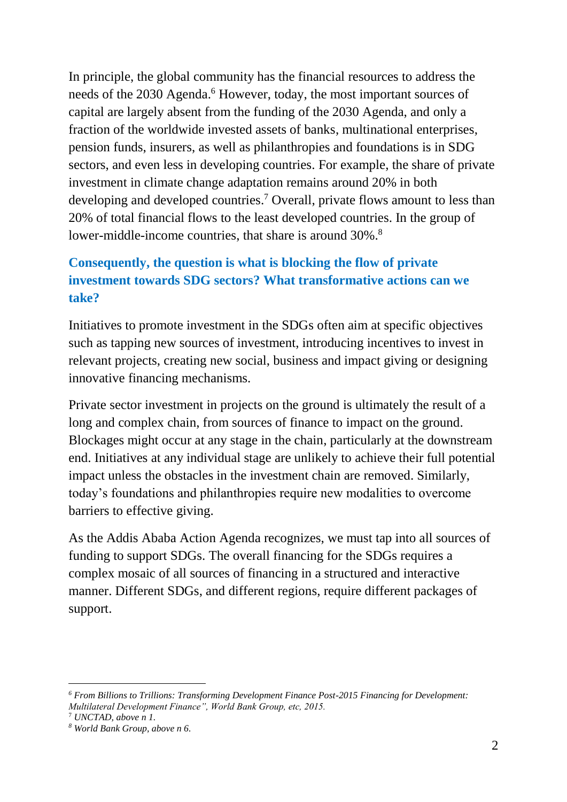In principle, the global community has the financial resources to address the needs of the 2030 Agenda. <sup>6</sup> However, today, the most important sources of capital are largely absent from the funding of the 2030 Agenda, and only a fraction of the worldwide invested assets of banks, multinational enterprises, pension funds, insurers, as well as philanthropies and foundations is in SDG sectors, and even less in developing countries. For example, the share of private investment in climate change adaptation remains around 20% in both developing and developed countries. <sup>7</sup> Overall, private flows amount to less than 20% of total financial flows to the least developed countries. In the group of lower-middle-income countries, that share is around 30%.<sup>8</sup>

## **Consequently, the question is what is blocking the flow of private investment towards SDG sectors? What transformative actions can we take?**

Initiatives to promote investment in the SDGs often aim at specific objectives such as tapping new sources of investment, introducing incentives to invest in relevant projects, creating new social, business and impact giving or designing innovative financing mechanisms.

Private sector investment in projects on the ground is ultimately the result of a long and complex chain, from sources of finance to impact on the ground. Blockages might occur at any stage in the chain, particularly at the downstream end. Initiatives at any individual stage are unlikely to achieve their full potential impact unless the obstacles in the investment chain are removed. Similarly, today's foundations and philanthropies require new modalities to overcome barriers to effective giving.

As the Addis Ababa Action Agenda recognizes, we must tap into all sources of funding to support SDGs. The overall financing for the SDGs requires a complex mosaic of all sources of financing in a structured and interactive manner. Different SDGs, and different regions, require different packages of support.

-

*<sup>6</sup> From Billions to Trillions: Transforming Development Finance Post-2015 Financing for Development: Multilateral Development Finance", World Bank Group, etc, 2015.* 

<sup>7</sup> *UNCTAD, above n 1.*

*<sup>8</sup> World Bank Group, above n 6.*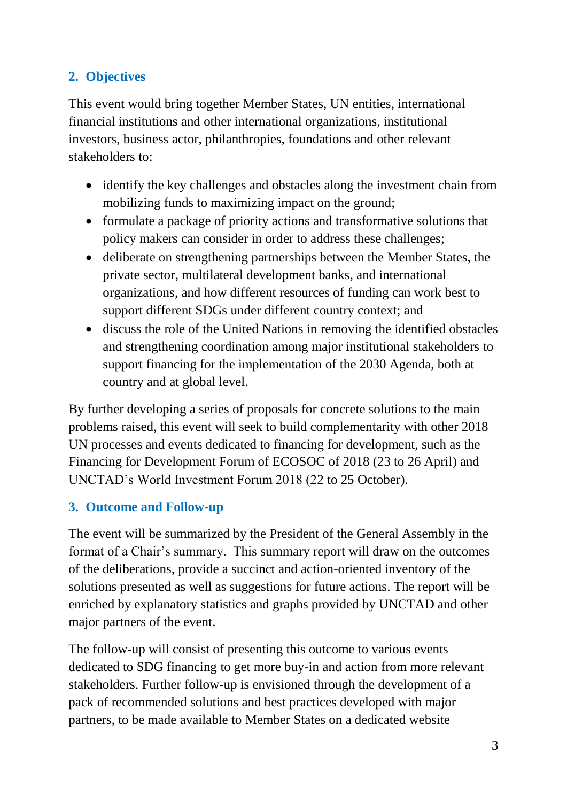## **2. Objectives**

This event would bring together Member States, UN entities, international financial institutions and other international organizations, institutional investors, business actor, philanthropies, foundations and other relevant stakeholders to:

- identify the key challenges and obstacles along the investment chain from mobilizing funds to maximizing impact on the ground;
- formulate a package of priority actions and transformative solutions that policy makers can consider in order to address these challenges;
- deliberate on strengthening partnerships between the Member States, the private sector, multilateral development banks, and international organizations, and how different resources of funding can work best to support different SDGs under different country context; and
- discuss the role of the United Nations in removing the identified obstacles and strengthening coordination among major institutional stakeholders to support financing for the implementation of the 2030 Agenda, both at country and at global level.

By further developing a series of proposals for concrete solutions to the main problems raised, this event will seek to build complementarity with other 2018 UN processes and events dedicated to financing for development, such as the Financing for Development Forum of ECOSOC of 2018 (23 to 26 April) and UNCTAD's World Investment Forum 2018 (22 to 25 October).

## **3. Outcome and Follow-up**

The event will be summarized by the President of the General Assembly in the format of a Chair's summary. This summary report will draw on the outcomes of the deliberations, provide a succinct and action-oriented inventory of the solutions presented as well as suggestions for future actions. The report will be enriched by explanatory statistics and graphs provided by UNCTAD and other major partners of the event.

The follow-up will consist of presenting this outcome to various events dedicated to SDG financing to get more buy-in and action from more relevant stakeholders. Further follow-up is envisioned through the development of a pack of recommended solutions and best practices developed with major partners, to be made available to Member States on a dedicated website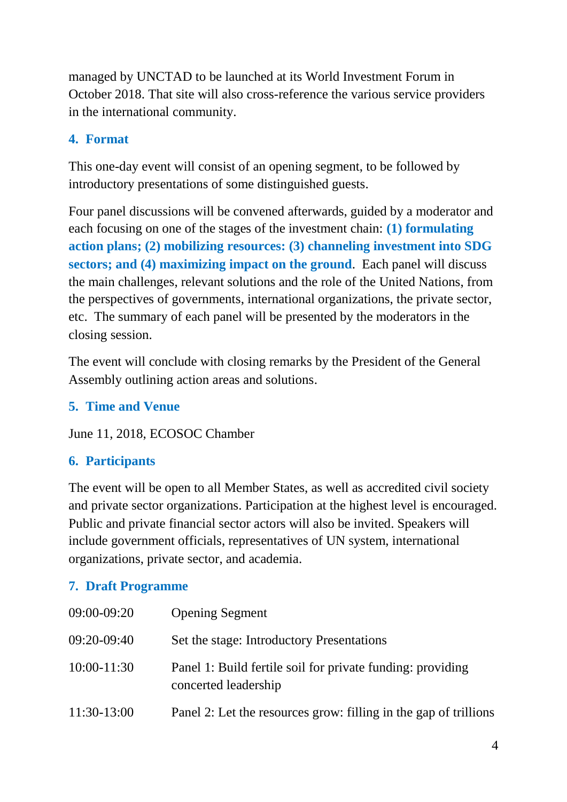managed by UNCTAD to be launched at its World Investment Forum in October 2018. That site will also cross-reference the various service providers in the international community.

## **4. Format**

This one-day event will consist of an opening segment, to be followed by introductory presentations of some distinguished guests.

Four panel discussions will be convened afterwards, guided by a moderator and each focusing on one of the stages of the investment chain: **(1) formulating action plans; (2) mobilizing resources: (3) channeling investment into SDG sectors; and (4) maximizing impact on the ground**. Each panel will discuss the main challenges, relevant solutions and the role of the United Nations, from the perspectives of governments, international organizations, the private sector, etc. The summary of each panel will be presented by the moderators in the closing session.

The event will conclude with closing remarks by the President of the General Assembly outlining action areas and solutions.

## **5. Time and Venue**

June 11, 2018, ECOSOC Chamber

## **6. Participants**

The event will be open to all Member States, as well as accredited civil society and private sector organizations. Participation at the highest level is encouraged. Public and private financial sector actors will also be invited. Speakers will include government officials, representatives of UN system, international organizations, private sector, and academia.

## **7. Draft Programme**

| 09:00-09:20   | <b>Opening Segment</b>                                                             |
|---------------|------------------------------------------------------------------------------------|
| $09:20-09:40$ | Set the stage: Introductory Presentations                                          |
| $10:00-11:30$ | Panel 1: Build fertile soil for private funding: providing<br>concerted leadership |
| 11:30-13:00   | Panel 2: Let the resources grow: filling in the gap of trillions                   |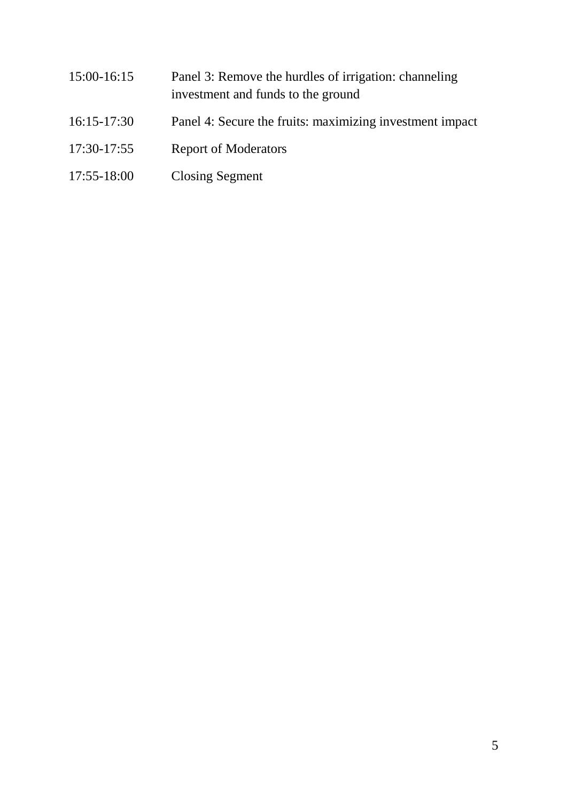15:00-16:15 Panel 3: Remove the hurdles of irrigation: channeling investment and funds to the ground 16:15-17:30 Panel 4: Secure the fruits: maximizing investment impact 17:30-17:55 Report of Moderators 17:55-18:00 Closing Segment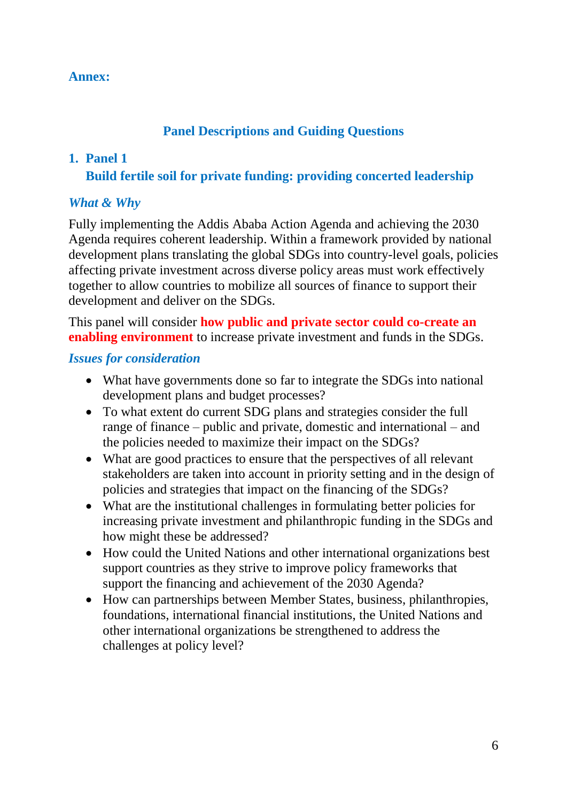#### **Annex:**

#### **Panel Descriptions and Guiding Questions**

#### **1. Panel 1**

**Build fertile soil for private funding: providing concerted leadership** 

#### *What & Why*

Fully implementing the Addis Ababa Action Agenda and achieving the 2030 Agenda requires coherent leadership. Within a framework provided by national development plans translating the global SDGs into country-level goals, policies affecting private investment across diverse policy areas must work effectively together to allow countries to mobilize all sources of finance to support their development and deliver on the SDGs.

This panel will consider **how public and private sector could co-create an enabling environment** to increase private investment and funds in the SDGs.

#### *Issues for consideration*

- What have governments done so far to integrate the SDGs into national development plans and budget processes?
- To what extent do current SDG plans and strategies consider the full range of finance – public and private, domestic and international – and the policies needed to maximize their impact on the SDGs?
- What are good practices to ensure that the perspectives of all relevant stakeholders are taken into account in priority setting and in the design of policies and strategies that impact on the financing of the SDGs?
- What are the institutional challenges in formulating better policies for increasing private investment and philanthropic funding in the SDGs and how might these be addressed?
- How could the United Nations and other international organizations best support countries as they strive to improve policy frameworks that support the financing and achievement of the 2030 Agenda?
- How can partnerships between Member States, business, philanthropies, foundations, international financial institutions, the United Nations and other international organizations be strengthened to address the challenges at policy level?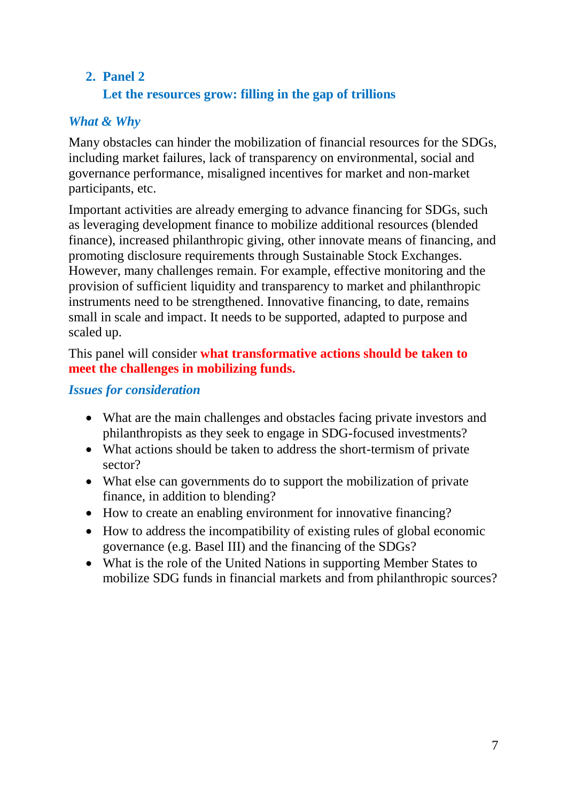## **2. Panel 2 Let the resources grow: filling in the gap of trillions**

## *What & Why*

Many obstacles can hinder the mobilization of financial resources for the SDGs, including market failures, lack of transparency on environmental, social and governance performance, misaligned incentives for market and non-market participants, etc.

Important activities are already emerging to advance financing for SDGs, such as leveraging development finance to mobilize additional resources (blended finance), increased philanthropic giving, other innovate means of financing, and promoting disclosure requirements through Sustainable Stock Exchanges. However, many challenges remain. For example, effective monitoring and the provision of sufficient liquidity and transparency to market and philanthropic instruments need to be strengthened. Innovative financing, to date, remains small in scale and impact. It needs to be supported, adapted to purpose and scaled up.

#### This panel will consider **what transformative actions should be taken to meet the challenges in mobilizing funds.**

#### *Issues for consideration*

- What are the main challenges and obstacles facing private investors and philanthropists as they seek to engage in SDG-focused investments?
- What actions should be taken to address the short-termism of private sector?
- What else can governments do to support the mobilization of private finance, in addition to blending?
- How to create an enabling environment for innovative financing?
- How to address the incompatibility of existing rules of global economic governance (e.g. Basel III) and the financing of the SDGs?
- What is the role of the United Nations in supporting Member States to mobilize SDG funds in financial markets and from philanthropic sources?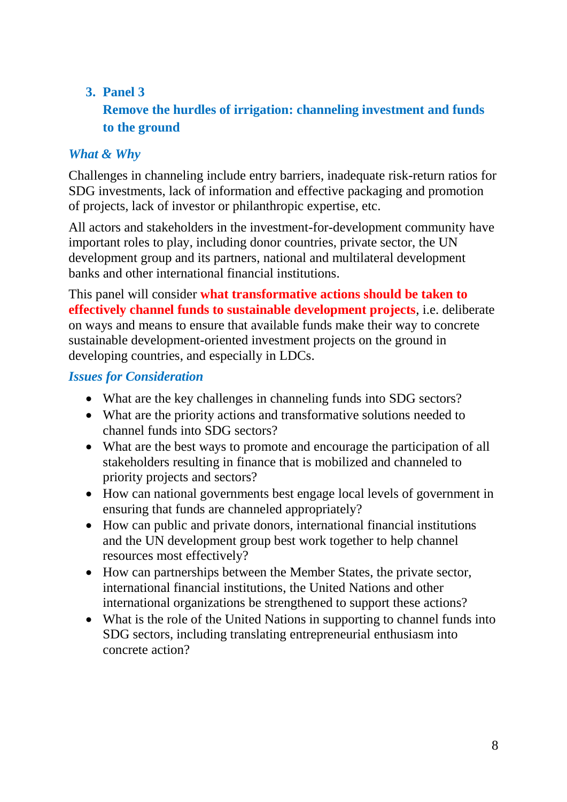## **3. Panel 3**

## **Remove the hurdles of irrigation: channeling investment and funds to the ground**

## *What & Why*

Challenges in channeling include entry barriers, inadequate risk-return ratios for SDG investments, lack of information and effective packaging and promotion of projects, lack of investor or philanthropic expertise, etc.

All actors and stakeholders in the investment-for-development community have important roles to play, including donor countries, private sector, the UN development group and its partners, national and multilateral development banks and other international financial institutions.

This panel will consider **what transformative actions should be taken to effectively channel funds to sustainable development projects**, i.e. deliberate on ways and means to ensure that available funds make their way to concrete sustainable development-oriented investment projects on the ground in developing countries, and especially in LDCs.

#### *Issues for Consideration*

- What are the key challenges in channeling funds into SDG sectors?
- What are the priority actions and transformative solutions needed to channel funds into SDG sectors?
- What are the best ways to promote and encourage the participation of all stakeholders resulting in finance that is mobilized and channeled to priority projects and sectors?
- How can national governments best engage local levels of government in ensuring that funds are channeled appropriately?
- How can public and private donors, international financial institutions and the UN development group best work together to help channel resources most effectively?
- How can partnerships between the Member States, the private sector, international financial institutions, the United Nations and other international organizations be strengthened to support these actions?
- What is the role of the United Nations in supporting to channel funds into SDG sectors, including translating entrepreneurial enthusiasm into concrete action?